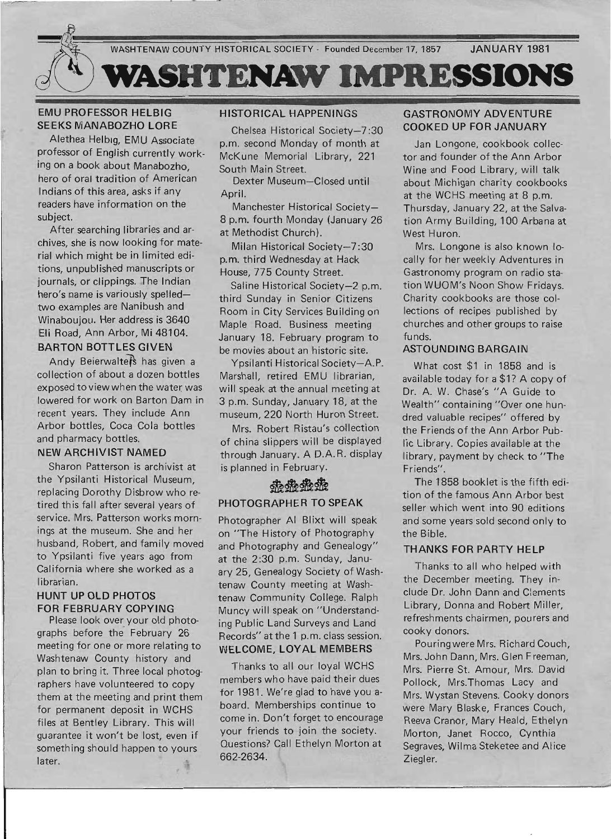

### EMU PROFESSOR HELBIG SEEKS MANABOZHO LORE

Alethea Helbig, EMU Associate professor of English currently working on a book about Manabozho, hero of orai tradition of American Indians of this area, asks if any readers have information on the subject.

After searching libraries and archives, she is now looking for material which might be in limited editions, unpublished manuscripts or journals, or clippings. The Indian hero's name is variously spelledtwo examples are Nanibush and Winaboujou. Her address is 3640 Eli Road, Ann Arbor, Mi 48104. BARTON BOTTLES GIVEN

Andy Beierwalters has given a collection of about a dozen bottles exposed to view when the water was lowered for work on Barton Dam in recent years. They include Ann Arbor bottles, Coca Cola bottles and pharmacy bottles.

### NEW ARCHIVIST NAMED

Sharon Patterson is archivist at the Ypsilanti Historical Museum, replacing Dorothy Disbrow who retired this fall after several years of service. Mrs. Patterson works morn: ings at the museum. She and her husband, Robert, and family moved to Ypsilanti five years ago from California where she worked as a librarian.

#### HUNT UP OLD PHOTOS FOR FEBRUARY COPYING

Please look over your old photographs before the February 26 meeting for one or more relating to Washtenaw County history and plan to bring it. Three local photographers have volunteered to copy them at the meeting and print them for permanent deposit in WCHS files at Bentley Library. This will guarantee it won't be lost, even if something should happen to yours later.

## HISTORICAL HAPPENINGS

Chelsea Historical Society-7 :30 p.m. second Monday of month at McKune Memorial Library, 221 South Main Street.

Dexter Museum-Closed until April.

Manchester Historical Society-8 p.m. fourth Monday (January 26 at Methodist Church).

Milan Historical Society-7:30 p.m. third Wednesday at Hack House, 775 County Street.

Saline Historical Society-2 p.m. third Sunday in Senior Citizens Room in City Services Bu ilding on Maple Road. Business meeting January 18. February program to be movies about an historic site.

Ypsilanti Historical Society-A.P. Marshall, retired EMU librarian, will speak at the annual meeting at 3 p.m. Sunday, January 18, at the museum, 220 North Huron Street.

Mrs. Robert Ristau's collection of china slippers will be displayed through January. A D.A.R. display is planned in February.

# <u>ේ ේ ේ ේ ේ ේ </u> PHOTOGRAPHER TO SPEAK

Photographer AI Blixt will speak on "The History of Photography and Photography and Genealogy" at the 2:30 p.m. Sunday, January 25, Genealogy Society of Washtenaw County meeting at Washtenaw Community College. Ralph Muncy will speak on "Understanding Public Land Surveys and Land Records" at the 1 p.m. class session. WELCOME, LOYAL MEMBERS

Thanks to all our loyal WCHS members who have paid their dues for 1981. We're glad to have you aboard. Memberships continue to come in. Don't forget to encourage your friends to join the society. Questions? Call Ethelyn Morton at 662-2634.

### GASTRONOMY ADVENTURE COOKED UP FOR JANUARY

Jan Longone, cookbook collector and founder of the Ann Arbor Wine and Food Library, will talk about Michigan charity cookbooks at the WCHS meeting at 8 p.m. Thursday, January 22, at the Salvation Army Building, 100 Arbana at West Huron.

Mrs. Longone is also known locally for her weekly Adventures in Gastronomy program on radio station WUOM's Noon Show Fridays. Charity cookbooks are those collections of recipes published by churches and other groups to raise funds.

#### ASTOUNDING BARGAIN

What cost \$1 in 1858 and is available today for a \$1? A copy of Dr. A. W. Chase's "A Guide to Wealth" containing "Over one hundred valuable recipes" offered by the Friends of the Ann Arbor Public Library. Copies available at the library, payment by check to "The Friends".

The 1858 booklet is the fifth edition of the famous Ann Arbor best seller which went into 90 editions and some years sold second only to the Bible.

#### THANKS FOR PARTY HELP

Thanks to all who helped with the December meeting. They include Dr. John Dann and C:aments Library, Donna and Robert Miller, refreshments chairmen, pou rers and cooky donors.

Pouringwere Mrs. Richard Couch, Mrs. John Dann, Mrs. Glen Freeman, Mrs. Pierre St. Amour, Mrs. David Pollock, Mrs.Thomas Lacy and Mrs. Wystan Stevens. Cooky donors were Mary Blaske, Frances Couch, Reeva Cranor, Mary Heald, Ethelyn Morton, Janet Rocco, Cynthia Segraves, Wilma Steketee and Alice Ziegler.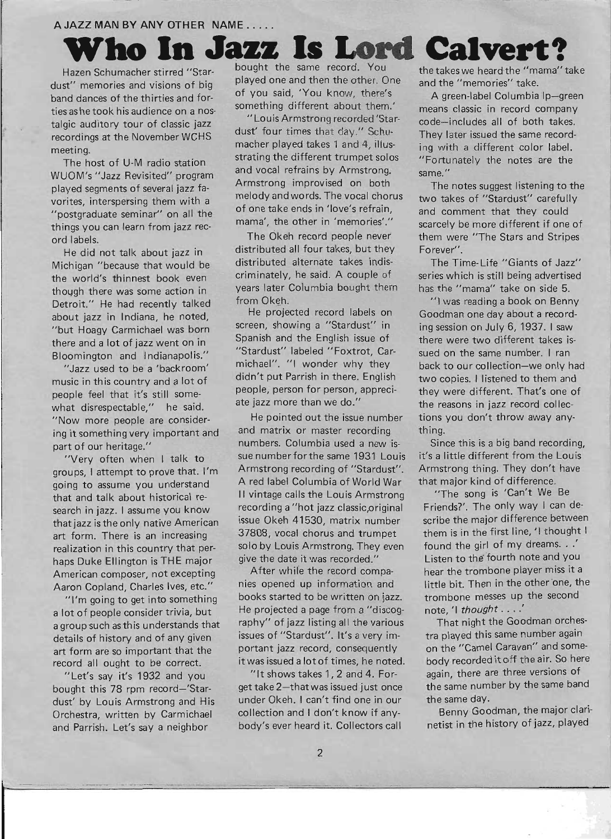### <sup>A</sup>**JAZZ MAN BY ANY OTHER NAME .....**

ties as he took his audience on a nos-<br>
"Louis Armstrong recorded 'Star-<br>
code-includes all of both takes

ord labels. The Okeh record people never them were "The Stars and Stripes"

Detroit." He had recently talked from Okeh.<br>
He projected record labels on Goodman one day about a record-

music in this country and a lot of didn't put Parrish in there. English two copies. I listened to them and people feel that it's still some- people, person for person, appreci- they were different. That's one of pospic rest that it's said series ate jazz more than we do." The reasons in jazz record collec-<br>what disrespectable," he said. ate jazz more than we do." the reasons in jazz record collec-

haps Duke Ellington is THE major give the date it was recorded." Listen to the fourth note and you American composer, not excepting After while the record compa- hear the trombone player miss it a Aaron Copland, Charles Ives, etc." nies opened up information and little bit. Then in the other one, the

record all ought to be correct. it was issued a lot of times, he noted. body recorded it off the air. So here

Who In Jazz Is Lord Calvert? bought the same record. You the takes we heard the "mama" take<br>played one and then the other. One and the "mamories" take dust" memories and visions of big played one and then the other. One and the "memories" take.<br>hand dange of the thirties and for of you said. 'You know, there's A green-label Columbia band dances of the thirties and for-<br>something different about them.' means classic in record company

talgic auditory tour of classic jazz<br>measurings at the Neugraphen MCUS dust' four times that day.'' Schu-<br>measurings at the Neugraphen MCUS dust' four times that day.'' Schu-<br>They later issued the same record. recordings at the November WCHS dust' four times that day." Schu-<br>macher played takes 1 and 4, illus-<br>maching different color label meeting. macher played takes 1 and 4, illus-<br>meeting. The host of U-M radio station strating the different trumpet solos "Fortunately the notes are the WUOM's "Jazz Revisited" program and vocal refrains by Armstrong. same."<br>
Armstrong improvised on both The played segments of several jazz fa-<br>melody and words. The vocal chorus the notes suggest listening to the<br>melody and words. The vocal chorus the takes of "Stardust" carefully vorites, interspersing them with a melody and words. The vocal chorus two takes of "Stardust" carefully version of the contract of one take ends in 'love's refrain. And comment that they could "postgraduate seminar" on all the of one take ends in 'love's refrain, and comment that they could

He did not talk about jazz in distributed all four takes, but they Forever". Michigan "because that would be distributed alternate takes indis- The Time-Life "Giants of Jazz" the world's thinnest book even criminately, he said. A couple of series which is still being advertised though there was some action in years later Columbia bought them has the "mama" take on side 5.

about jazz in Indiana, he noted, He projected record labels on Goodman one day about a record- "but Hoagy Carmichael was born screen, showing a "Stardust" in ing session on July 6, 1937. I saw there and a lot of jazz went on in Spanish and the English issue of there were two different takes is-<br>Pleamington and Indianapolis'' "Stardust" labeled "Foxtrot. Car-Bloomington and Indianapolis." "Stardust" labeled "Foxtrot, Car- sued on the same number. I ran

"Now more people are consider- He pointed out the issue number tions you don't throwaway anying it something very important and and matrix or master recording thing. part of our heritage." numbers. Columbia used a new is-<br>Since this is a big band recording, "Very often when I talk to sue number for the same 1931 Louis it's a little different from the Louis groups, I attempt to prove that. I'm Armstrong recording of "Stardust". Armstrong thing. They don't have going to assume you understand A red label Columbia of World War that major kind of difference. that and talk about historical re- II vintage calls the Louis Armstrong "The song is 'Can't We Be search in jazz. I assume you know recording a "hot jazz classic,original Friends?'. The only way I can dethat jazz is the only native American issue Okeh 41530, matrix number scribe the major difference between art form. There is an increasing 37808, vocal chorus and trumpet them is in the first line, 'I thought I realization in this country that per-<br>solo by Louis Armstrong. They even found the girl of my dreams. . .'

"I'm going to get into something books started to be written on jazz. trombone messes up the second a lot of people consider trivia, but He projected a page from a "discog- note, 'I *thought* . . . .' a group such as this understands that raphy" of jazz listing all the various That night the Goodman orchesdetails of history and of any given issues of "Stardust". It's a very im- tra played this same number again art form are so important that the portant jazz record, consequently on the "Camel Caravan" and some-

bought this 78 rpm record-'Star- get take 2-that was issued just once the same number by the same band dust' by Louis Armstrong and His under Okeh. I can't find one in our the same day. Orchestra, written by Carmichael collection and I don't know if any-<br>Benny Goodman, the major clariand Parrish. Let's say a neighbor body's ever heard it. Collectors call netist in the history of jazz, played

things you can learn from jazz rec- mama', the other in 'memories'." scarcely be more different if one of

"Jazz used to be a 'backroom' michael". "I wonder why they back to our collection-we only had

"Let's say it's 1932 and you "It shows takes 1, 2 and 4. For- again, there are three versions of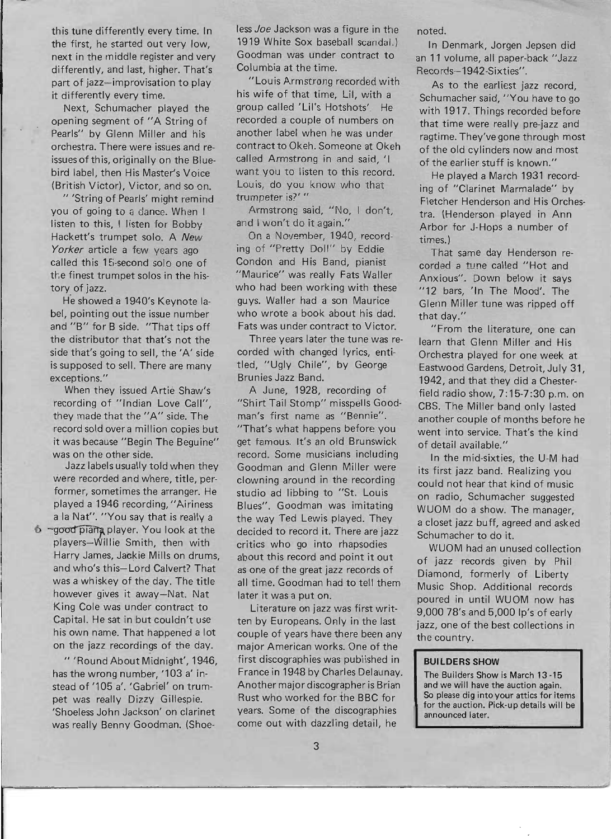this tune differently every time. In the first, he started out very low, next in the middle register and very differently, and last, higher. That's part of jazz-improvisation to play it differently every time.

Next, Schumacher played the opening segment of "A String of Pearls" by Glenn Miller and his orchestra. There were issues and reissues of this, originally on the Bluebird label, then His Master's Voice (British Victor), Victor, and so on.

" 'String of Pearls' might remind you of going to a dance. When I listen to this, I listen for Bobby Hackett's trumpet solo. A New Yorker article a few years ago called this 15-second solo one of the finest trumpet solos in the history of jazz.

He showed a 1940's Keynote label, pointing out the issue number and "8" for B side. "That tips off the distributor that that's not the side that's going to sell, the 'A' side is supposed to sell. There are many exceptions. "

When they issued Artie Shaw's recording of "Indian Love Call", they made that the "A" side. The record sold over a million copies but it was because "Begin The Beguine" was on the other side.

Jazz labels usually told when they were recorded and where, title, performer, sometimes the arranger. He played a 1946 recording, "Airiness a la Nat". "You say that is really a

<sup>6</sup> ~good piana player. You look at the players-Willie Smith, then with Harry James, Jackie Mills on drums, and who's this-Lord Calvert? That was a whiskey of the day. The title however gives it away-Nat. Nat King Cole was under contract to Capital. He sat in but couldn't use his own name. That happened a lot on the jazz recordings of the day.

"'Round About Midnight', 1946, has the wrong number, '103 a' instead of '105 a'. 'Gabriel' on trumpet was really Dizzy Gillespie. 'Shoeless John Jackson' on clarinet was really Benny Goodman. (Shoeless Joe Jackson was a figure in the 1919 White Sox baseball scandal.) Goodman was under contract to Columbia at the time.

"Louis Armstrong recorded with his wife of that time, Lil, with a group called 'Lil's Hotshots'. He recorded a couple of numbers on another label when he was under contract to Okeh. Someone at Okeh called Armstrong in and said, 'I want you to listen to this record. Louis, do you know who that trumpeter is?' "

Armstrong said, "No, I don't, and I won't do it again."

On a November, 1940, recording of "Pretty Doll" by Eddie Condon and His Band, pianist "Maurice" was really Fats Waller who had been working with these guys. Waller had a son Maurice who wrote a book about his dad. Fats was under contract to Victor.

Three years later the tune was recorded with changed lyrics, entitled, "Ugly Chile", by George Brunies Jazz Band.

A June, 1928, recording of "Shirt Tail Stomp" misspells Goodman's first name as "Bennie". "That's what happens before you get famous. It's an old Brunswick record. Some musicians including Goodman and Glenn Miller were clowning around in the recording studio ad libbing to "St. Louis Blues". Goodman was imitating the way Ted Lewis played. They decided to record it. There are jazz critics who go into rhapsodies about this record and point it out as one of the great jazz records of all time. Goodman had to tell them later it was a put on.

Literature on jazz was first written by Europeans. Only in the last couple of years have there been any major American works. One of the first discographies was published in France in 1948 by Charles Delaunay. Another major discographer is Brian Rust who worked for the BBC for years. Some of the discographies come out with dazzling detail, he

noted.

In Denmark, Jorgen Jepsen did an 11 volume, all paper-back "Jazz Records-1942-Sixties" .

As to the earliest jazz record, Schumacher said, "You have to go with 1917. Things recorded before that time were really pre-jazz and ragtime. They've gone through most of the old cylinders now and most of the earlier stuff is known."

He played a March 1931 recording of "Clarinet Marmalade" by Fletcher Henderson and His Orchestra. (Henderson played in Ann Arbor for J- Hops a number of times.)

That same day Henderson recorded a tune called "Hot and Anxious". Down below it says "12 bars, 'In The Mood'. The Glenn Miller tune was ripped off that day."

"From the literature, one can learn that Glenn Miller and His Orchestra played for one week at Eastwood Gardens, Detroit, July 31, 1942, and that they did a Chesterfield radio show, 7:15-7:30 p.m. on CBS. The Miller band only lasted another couple of months before he went into service. That's the kind of detail available."

In the mid-sixties, the U-M had its first jazz band. Realizing you could not hear that kind of music on radio, Schumacher suggested WUOM do a show. The manager, a closet jazz buff, agreed and asked Schumacher to do it.

WUOM had an unused collection of jazz records given by Phil Diamond, formerly of Liberty Music Shop. Additional records poured in until WUOM now has 9,000 78's and 5,000 Ip's of early jazz, one of the best collections in the country.

#### **BUILDERS SHOW**

The Builders Show is March 13-15 and we will have the auction again. So please dig into your attics for items for the auction. Pick-up details will be announced later.